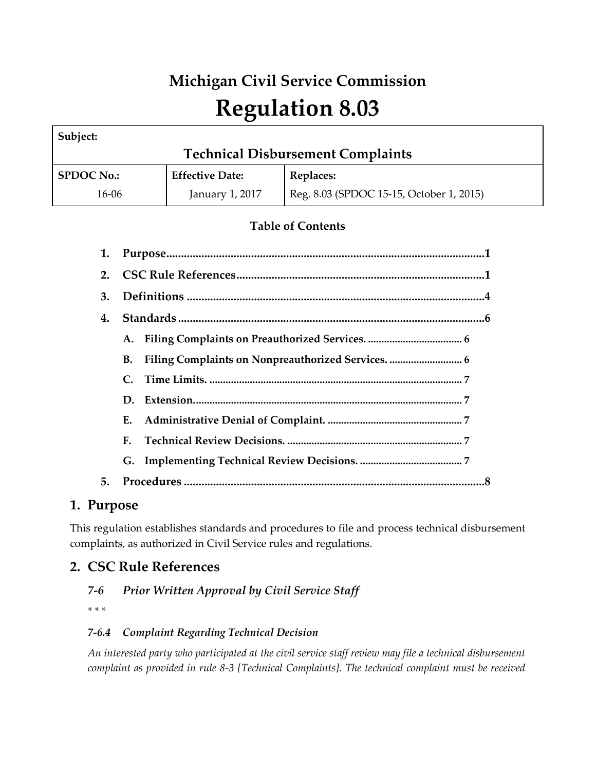# **Michigan Civil Service Commission Regulation 8.03**

| Subject:                                 |                        |                                          |  |  |  |
|------------------------------------------|------------------------|------------------------------------------|--|--|--|
| <b>Technical Disbursement Complaints</b> |                        |                                          |  |  |  |
| <b>SPDOC No.:</b>                        | <b>Effective Date:</b> | <b>Replaces:</b>                         |  |  |  |
| 16-06                                    | January 1, 2017        | Reg. 8.03 (SPDOC 15-15, October 1, 2015) |  |  |  |

# **Table of Contents**

| 1. |    |  |  |
|----|----|--|--|
| 2. |    |  |  |
| 3. |    |  |  |
| 4. |    |  |  |
|    |    |  |  |
|    | В. |  |  |
|    |    |  |  |
|    |    |  |  |
|    | Е. |  |  |
|    | F. |  |  |
|    |    |  |  |
| 5. |    |  |  |

# **1. Purpose**

This regulation establishes standards and procedures to file and process technical disbursement complaints, as authorized in Civil Service rules and regulations.

# **2. CSC Rule References**

# *7-6 Prior Written Approval by Civil Service Staff*

*\* \* \** 

# *7-6.4 Complaint Regarding Technical Decision*

*An interested party who participated at the civil service staff review may file a technical disbursement complaint as provided in rule 8-3 [Technical Complaints]. The technical complaint must be received*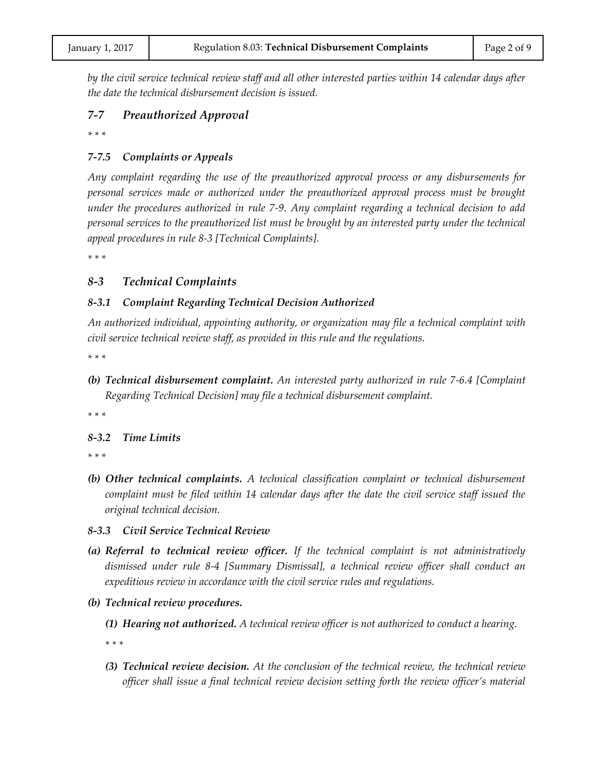*by the civil service technical review staff and all other interested parties within 14 calendar days after the date the technical disbursement decision is issued.*

### *7-7 Preauthorized Approval*

*\* \* \** 

### *7-7.5 Complaints or Appeals*

*Any complaint regarding the use of the preauthorized approval process or any disbursements for personal services made or authorized under the preauthorized approval process must be brought under the procedures authorized in rule 7-9. Any complaint regarding a technical decision to add personal services to the preauthorized list must be brought by an interested party under the technical appeal procedures in rule 8-3 [Technical Complaints].*

*\* \* \** 

### *8-3 Technical Complaints*

### *8-3.1 Complaint Regarding Technical Decision Authorized*

*An authorized individual, appointing authority, or organization may file a technical complaint with civil service technical review staff, as provided in this rule and the regulations.*

*\* \* \** 

*(b) Technical disbursement complaint. An interested party authorized in rule 7-6.4 [Complaint Regarding Technical Decision] may file a technical disbursement complaint.*

*\* \* \** 

### *8-3.2 Time Limits*

*\* \* \** 

*(b) Other technical complaints. A technical classification complaint or technical disbursement complaint must be filed within 14 calendar days after the date the civil service staff issued the original technical decision.*

### *8-3.3 Civil Service Technical Review*

- *(a) Referral to technical review officer. If the technical complaint is not administratively dismissed under rule 8-4 [Summary Dismissal], a technical review officer shall conduct an expeditious review in accordance with the civil service rules and regulations.*
- *(b) Technical review procedures.*
	- *(1) Hearing not authorized. A technical review officer is not authorized to conduct a hearing.*

*\* \* \** 

*(3) Technical review decision. At the conclusion of the technical review, the technical review officer shall issue a final technical review decision setting forth the review officer's material*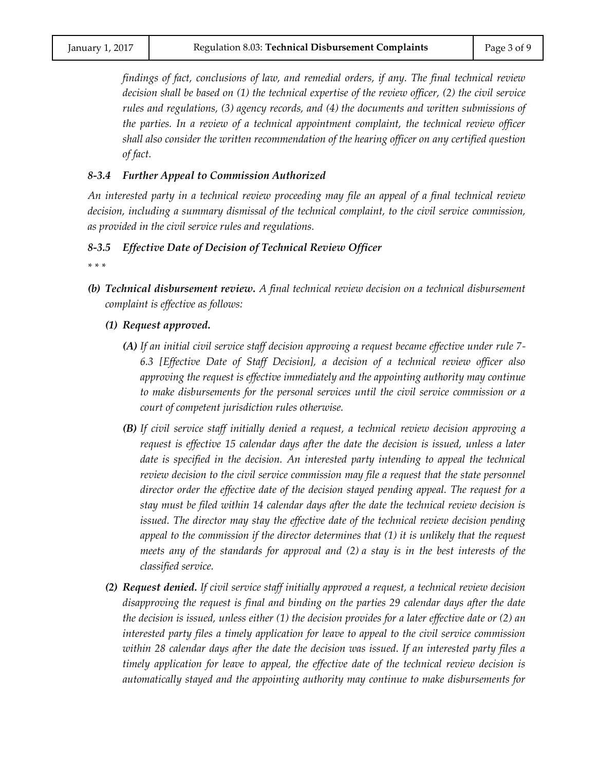*findings of fact, conclusions of law, and remedial orders, if any. The final technical review decision shall be based on (1) the technical expertise of the review officer, (2) the civil service rules and regulations, (3) agency records, and (4) the documents and written submissions of the parties. In a review of a technical appointment complaint, the technical review officer shall also consider the written recommendation of the hearing officer on any certified question of fact.*

#### *8-3.4 Further Appeal to Commission Authorized*

*An interested party in a technical review proceeding may file an appeal of a final technical review decision, including a summary dismissal of the technical complaint, to the civil service commission, as provided in the civil service rules and regulations.*

#### *8-3.5 Effective Date of Decision of Technical Review Officer*

*\* \* \** 

- *(b) Technical disbursement review. A final technical review decision on a technical disbursement complaint is effective as follows:*
	- *(1) Request approved.*
		- *(A) If an initial civil service staff decision approving a request became effective under rule 7- 6.3 [Effective Date of Staff Decision], a decision of a technical review officer also approving the request is effective immediately and the appointing authority may continue to make disbursements for the personal services until the civil service commission or a court of competent jurisdiction rules otherwise.*
		- *(B) If civil service staff initially denied a request, a technical review decision approving a request is effective 15 calendar days after the date the decision is issued, unless a later*  date is specified in the decision. An interested party intending to appeal the technical *review decision to the civil service commission may file a request that the state personnel director order the effective date of the decision stayed pending appeal. The request for a stay must be filed within 14 calendar days after the date the technical review decision is issued. The director may stay the effective date of the technical review decision pending appeal to the commission if the director determines that (1) it is unlikely that the request meets any of the standards for approval and (2) a stay is in the best interests of the classified service.*
	- *(2) Request denied. If civil service staff initially approved a request, a technical review decision disapproving the request is final and binding on the parties 29 calendar days after the date the decision is issued, unless either (1) the decision provides for a later effective date or (2) an interested party files a timely application for leave to appeal to the civil service commission within 28 calendar days after the date the decision was issued. If an interested party files a timely application for leave to appeal, the effective date of the technical review decision is automatically stayed and the appointing authority may continue to make disbursements for*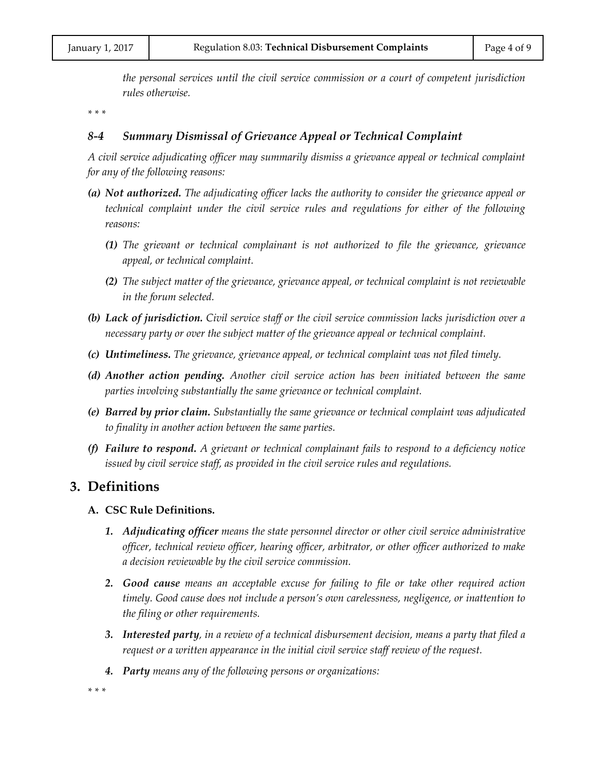*the personal services until the civil service commission or a court of competent jurisdiction rules otherwise.*

*\* \* \** 

### *8-4 Summary Dismissal of Grievance Appeal or Technical Complaint*

*A civil service adjudicating officer may summarily dismiss a grievance appeal or technical complaint for any of the following reasons:*

- *(a) Not authorized. The adjudicating officer lacks the authority to consider the grievance appeal or technical complaint under the civil service rules and regulations for either of the following reasons:*
	- *(1) The grievant or technical complainant is not authorized to file the grievance, grievance appeal, or technical complaint.*
	- *(2) The subject matter of the grievance, grievance appeal, or technical complaint is not reviewable in the forum selected.*
- *(b) Lack of jurisdiction. Civil service staff or the civil service commission lacks jurisdiction over a necessary party or over the subject matter of the grievance appeal or technical complaint.*
- *(c) Untimeliness. The grievance, grievance appeal, or technical complaint was not filed timely.*
- *(d) Another action pending. Another civil service action has been initiated between the same parties involving substantially the same grievance or technical complaint.*
- *(e) Barred by prior claim. Substantially the same grievance or technical complaint was adjudicated to finality in another action between the same parties.*
- *(f) Failure to respond. A grievant or technical complainant fails to respond to a deficiency notice issued by civil service staff, as provided in the civil service rules and regulations.*

# **3. Definitions**

### **A. CSC Rule Definitions.**

- *1. Adjudicating officer means the state personnel director or other civil service administrative officer, technical review officer, hearing officer, arbitrator, or other officer authorized to make a decision reviewable by the civil service commission.*
- *2. Good cause means an acceptable excuse for failing to file or take other required action timely. Good cause does not include a person's own carelessness, negligence, or inattention to the filing or other requirements.*
- *3. Interested party, in a review of a technical disbursement decision, means a party that filed a request or a written appearance in the initial civil service staff review of the request.*
- *4. Party means any of the following persons or organizations:*

*\* \* \**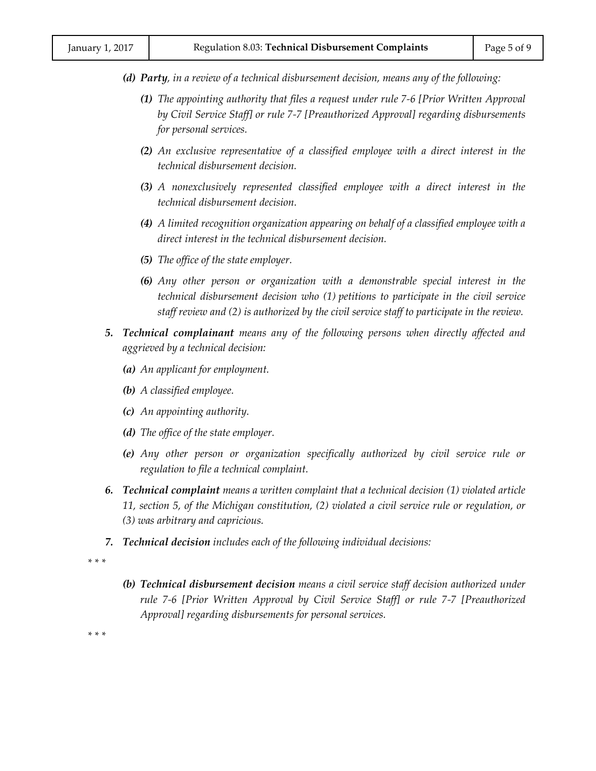- *(d) Party, in a review of a technical disbursement decision, means any of the following:*
	- *(1) The appointing authority that files a request under rule 7-6 [Prior Written Approval by Civil Service Staff] or rule 7-7 [Preauthorized Approval] regarding disbursements for personal services.*
	- *(2) An exclusive representative of a classified employee with a direct interest in the technical disbursement decision.*
	- *(3) A nonexclusively represented classified employee with a direct interest in the technical disbursement decision.*
	- *(4) A limited recognition organization appearing on behalf of a classified employee with a direct interest in the technical disbursement decision.*
	- *(5) The office of the state employer.*
	- *(6) Any other person or organization with a demonstrable special interest in the technical disbursement decision who (1) petitions to participate in the civil service staff review and (2) is authorized by the civil service staff to participate in the review.*
- *5. Technical complainant means any of the following persons when directly affected and aggrieved by a technical decision:*
	- *(a) An applicant for employment.*
	- *(b) A classified employee.*
	- *(c) An appointing authority.*
	- *(d) The office of the state employer.*
	- *(e) Any other person or organization specifically authorized by civil service rule or regulation to file a technical complaint.*
- *6. Technical complaint means a written complaint that a technical decision (1) violated article 11, section 5, of the Michigan constitution, (2) violated a civil service rule or regulation, or (3) was arbitrary and capricious.*
- *7. Technical decision includes each of the following individual decisions:*

*\* \* \**

*(b) Technical disbursement decision means a civil service staff decision authorized under rule 7-6 [Prior Written Approval by Civil Service Staff] or rule 7-7 [Preauthorized Approval] regarding disbursements for personal services.*

*\* \* \**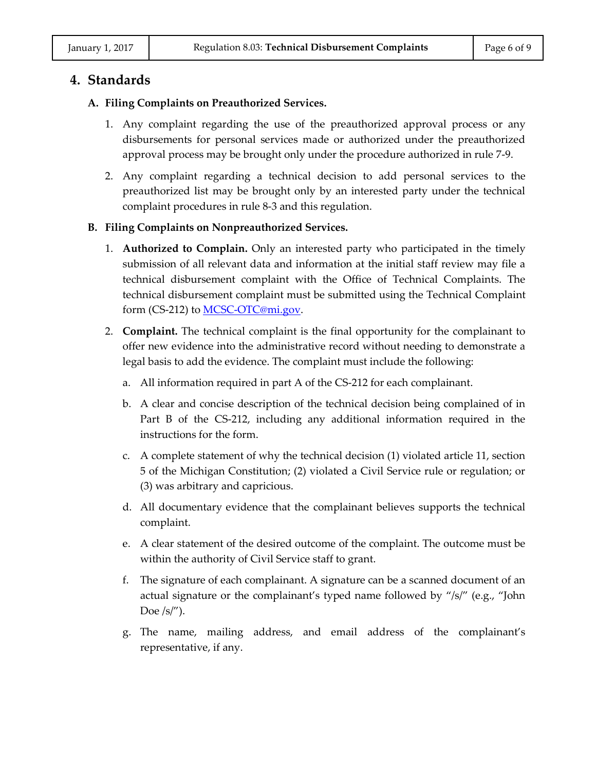# **4. Standards**

### **A. Filing Complaints on Preauthorized Services.**

- 1. Any complaint regarding the use of the preauthorized approval process or any disbursements for personal services made or authorized under the preauthorized approval process may be brought only under the procedure authorized in rule 7-9.
- 2. Any complaint regarding a technical decision to add personal services to the preauthorized list may be brought only by an interested party under the technical complaint procedures in rule 8-3 and this regulation.

### **B. Filing Complaints on Nonpreauthorized Services.**

- 1. **Authorized to Complain.** Only an interested party who participated in the timely submission of all relevant data and information at the initial staff review may file a technical disbursement complaint with the Office of Technical Complaints. The technical disbursement complaint must be submitted using the Technical Complaint form (CS-212) t[o MCSC-OTC@mi.gov.](mailto:MCSC-OTC@mi.gov)
- 2. **Complaint.** The technical complaint is the final opportunity for the complainant to offer new evidence into the administrative record without needing to demonstrate a legal basis to add the evidence. The complaint must include the following:
	- a. All information required in part A of the CS-212 for each complainant.
	- b. A clear and concise description of the technical decision being complained of in Part B of the CS-212, including any additional information required in the instructions for the form.
	- c. A complete statement of why the technical decision (1) violated article 11, section 5 of the Michigan Constitution; (2) violated a Civil Service rule or regulation; or (3) was arbitrary and capricious.
	- d. All documentary evidence that the complainant believes supports the technical complaint.
	- e. A clear statement of the desired outcome of the complaint. The outcome must be within the authority of Civil Service staff to grant.
	- f. The signature of each complainant. A signature can be a scanned document of an actual signature or the complainant's typed name followed by "/s/" (e.g., "John Doe  $\frac{s}{''}$ .
	- g. The name, mailing address, and email address of the complainant's representative, if any.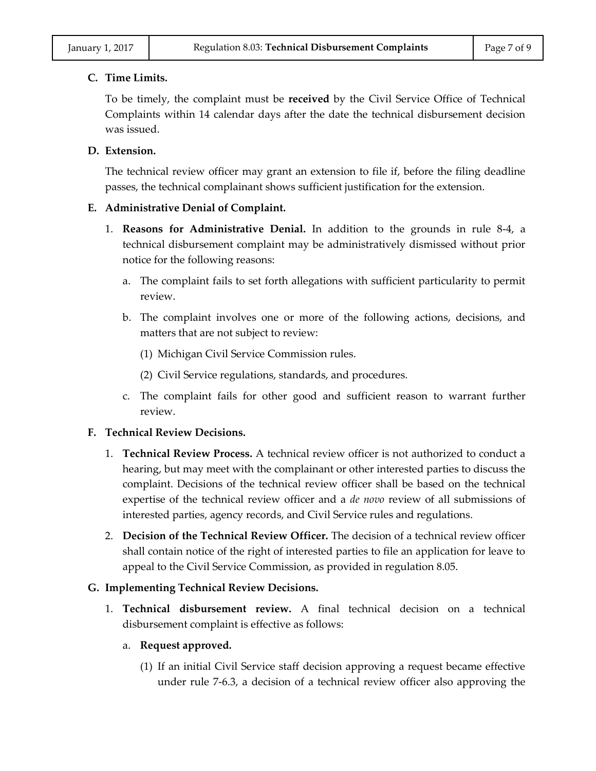#### **C. Time Limits.**

To be timely, the complaint must be **received** by the Civil Service Office of Technical Complaints within 14 calendar days after the date the technical disbursement decision was issued.

### **D. Extension.**

The technical review officer may grant an extension to file if, before the filing deadline passes, the technical complainant shows sufficient justification for the extension.

### **E. Administrative Denial of Complaint.**

- 1. **Reasons for Administrative Denial.** In addition to the grounds in rule 8-4, a technical disbursement complaint may be administratively dismissed without prior notice for the following reasons:
	- a. The complaint fails to set forth allegations with sufficient particularity to permit review.
	- b. The complaint involves one or more of the following actions, decisions, and matters that are not subject to review:
		- (1) Michigan Civil Service Commission rules.
		- (2) Civil Service regulations, standards, and procedures.
	- c. The complaint fails for other good and sufficient reason to warrant further review.

### **F. Technical Review Decisions.**

- 1. **Technical Review Process.** A technical review officer is not authorized to conduct a hearing, but may meet with the complainant or other interested parties to discuss the complaint. Decisions of the technical review officer shall be based on the technical expertise of the technical review officer and a *de novo* review of all submissions of interested parties, agency records, and Civil Service rules and regulations.
- 2. **Decision of the Technical Review Officer.** The decision of a technical review officer shall contain notice of the right of interested parties to file an application for leave to appeal to the Civil Service Commission, as provided in regulation 8.05.

### **G. Implementing Technical Review Decisions.**

1. **Technical disbursement review.** A final technical decision on a technical disbursement complaint is effective as follows:

### a. **Request approved.**

(1) If an initial Civil Service staff decision approving a request became effective under rule 7-6.3, a decision of a technical review officer also approving the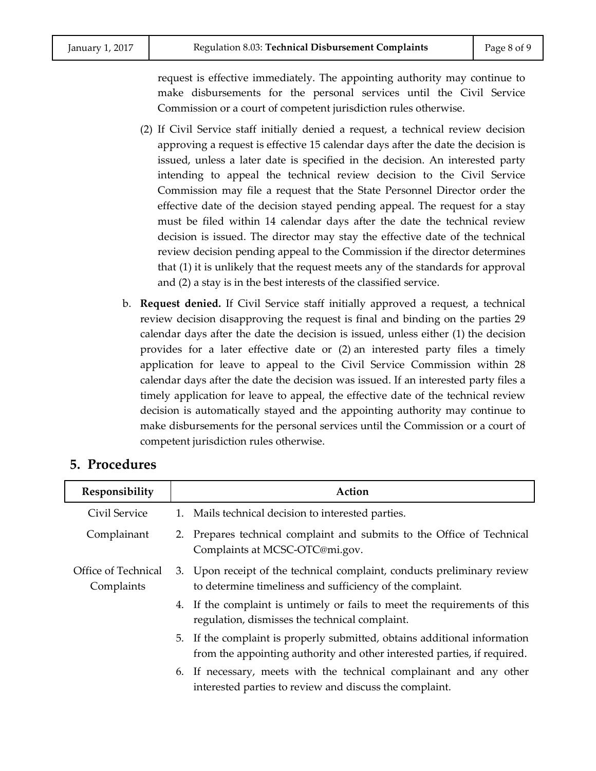request is effective immediately. The appointing authority may continue to make disbursements for the personal services until the Civil Service Commission or a court of competent jurisdiction rules otherwise.

- (2) If Civil Service staff initially denied a request, a technical review decision approving a request is effective 15 calendar days after the date the decision is issued, unless a later date is specified in the decision. An interested party intending to appeal the technical review decision to the Civil Service Commission may file a request that the State Personnel Director order the effective date of the decision stayed pending appeal. The request for a stay must be filed within 14 calendar days after the date the technical review decision is issued. The director may stay the effective date of the technical review decision pending appeal to the Commission if the director determines that (1) it is unlikely that the request meets any of the standards for approval and (2) a stay is in the best interests of the classified service.
- b. **Request denied.** If Civil Service staff initially approved a request, a technical review decision disapproving the request is final and binding on the parties 29 calendar days after the date the decision is issued, unless either (1) the decision provides for a later effective date or (2) an interested party files a timely application for leave to appeal to the Civil Service Commission within 28 calendar days after the date the decision was issued. If an interested party files a timely application for leave to appeal, the effective date of the technical review decision is automatically stayed and the appointing authority may continue to make disbursements for the personal services until the Commission or a court of competent jurisdiction rules otherwise.

| o. Procedures                     |                                                                                                                                                       |
|-----------------------------------|-------------------------------------------------------------------------------------------------------------------------------------------------------|
| Responsibility                    | Action                                                                                                                                                |
| Civil Service                     | 1. Mails technical decision to interested parties.                                                                                                    |
| Complainant                       | 2. Prepares technical complaint and submits to the Office of Technical<br>Complaints at MCSC-OTC@mi.gov.                                              |
| Office of Technical<br>Complaints | 3. Upon receipt of the technical complaint, conducts preliminary review<br>to determine timeliness and sufficiency of the complaint.                  |
|                                   | 4. If the complaint is untimely or fails to meet the requirements of this<br>regulation, dismisses the technical complaint.                           |
|                                   | 5. If the complaint is properly submitted, obtains additional information<br>from the appointing authority and other interested parties, if required. |
|                                   | 6. If necessary, meets with the technical complainant and any other<br>interested parties to review and discuss the complaint.                        |

# **5. Procedures**